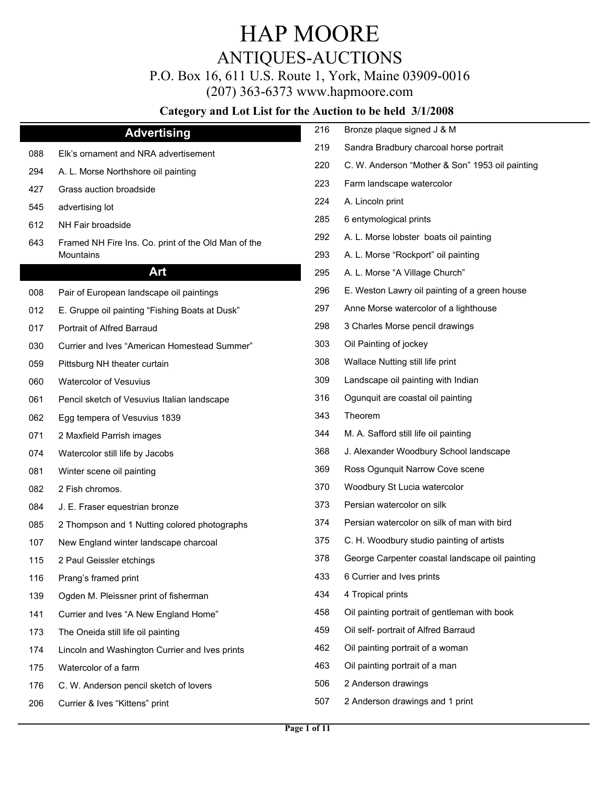# ANTIQUES-AUCTIONS

P.O. Box 16, 611 U.S. Route 1, York, Maine 03909-0016

(207) 363-6373 www.hapmoore.com

| <b>Advertising</b>                                  | 216                                                                                                                                                                                                            | Bronze plaque signed J & M                      |
|-----------------------------------------------------|----------------------------------------------------------------------------------------------------------------------------------------------------------------------------------------------------------------|-------------------------------------------------|
| Elk's ornament and NRA advertisement                | 219                                                                                                                                                                                                            | Sandra Bradbury charcoal horse portrait         |
| A. L. Morse Northshore oil painting                 | 220                                                                                                                                                                                                            | C. W. Anderson "Mother & Son" 1953 oil painting |
| Grass auction broadside                             | 223                                                                                                                                                                                                            | Farm landscape watercolor                       |
| advertising lot                                     | 224                                                                                                                                                                                                            | A. Lincoln print                                |
| NH Fair broadside                                   | 285                                                                                                                                                                                                            | 6 entymological prints                          |
| Framed NH Fire Ins. Co. print of the Old Man of the | 292                                                                                                                                                                                                            | A. L. Morse lobster boats oil painting          |
| <b>Mountains</b>                                    | 293                                                                                                                                                                                                            | A. L. Morse "Rockport" oil painting             |
| Art                                                 | 295                                                                                                                                                                                                            | A. L. Morse "A Village Church"                  |
| Pair of European landscape oil paintings            | 296                                                                                                                                                                                                            | E. Weston Lawry oil painting of a green house   |
| E. Gruppe oil painting "Fishing Boats at Dusk"      | 297                                                                                                                                                                                                            | Anne Morse watercolor of a lighthouse           |
| Portrait of Alfred Barraud                          | 298                                                                                                                                                                                                            | 3 Charles Morse pencil drawings                 |
| Currier and Ives "American Homestead Summer"        | 303                                                                                                                                                                                                            | Oil Painting of jockey                          |
| Pittsburg NH theater curtain                        | 308                                                                                                                                                                                                            | Wallace Nutting still life print                |
| Watercolor of Vesuvius                              | 309                                                                                                                                                                                                            | Landscape oil painting with Indian              |
| Pencil sketch of Vesuvius Italian landscape         | 316                                                                                                                                                                                                            | Ogunquit are coastal oil painting               |
| Egg tempera of Vesuvius 1839                        | 343                                                                                                                                                                                                            | Theorem                                         |
| 2 Maxfield Parrish images                           | 344                                                                                                                                                                                                            | M. A. Safford still life oil painting           |
| Watercolor still life by Jacobs                     | 368                                                                                                                                                                                                            | J. Alexander Woodbury School landscape          |
| Winter scene oil painting                           | 369                                                                                                                                                                                                            | Ross Ogunquit Narrow Cove scene                 |
| 2 Fish chromos.                                     | 370                                                                                                                                                                                                            | Woodbury St Lucia watercolor                    |
| J. E. Fraser equestrian bronze                      | 373                                                                                                                                                                                                            | Persian watercolor on silk                      |
| 2 Thompson and 1 Nutting colored photographs        | 374                                                                                                                                                                                                            | Persian watercolor on silk of man with bird     |
| New England winter landscape charcoal               | 375                                                                                                                                                                                                            | C. H. Woodbury studio painting of artists       |
| 2 Paul Geissler etchings                            | 378                                                                                                                                                                                                            | George Carpenter coastal landscape oil painting |
| Prang's framed print                                | 433                                                                                                                                                                                                            | 6 Currier and Ives prints                       |
| Ogden M. Pleissner print of fisherman               | 434                                                                                                                                                                                                            | 4 Tropical prints                               |
| Currier and Ives "A New England Home"               | 458                                                                                                                                                                                                            | Oil painting portrait of gentleman with book    |
| The Oneida still life oil painting                  | 459                                                                                                                                                                                                            | Oil self- portrait of Alfred Barraud            |
| Lincoln and Washington Currier and Ives prints      | 462                                                                                                                                                                                                            | Oil painting portrait of a woman                |
| Watercolor of a farm                                | 463                                                                                                                                                                                                            | Oil painting portrait of a man                  |
| C. W. Anderson pencil sketch of lovers              | 506                                                                                                                                                                                                            | 2 Anderson drawings                             |
| Currier & Ives "Kittens" print                      | 507                                                                                                                                                                                                            | 2 Anderson drawings and 1 print                 |
|                                                     | 088<br>294<br>427<br>545<br>612<br>643<br>008<br>012<br>017<br>030<br>059<br>060<br>061<br>062<br>071<br>074<br>081<br>082<br>084<br>085<br>107<br>115<br>116<br>139<br>141<br>173<br>174<br>175<br>176<br>206 |                                                 |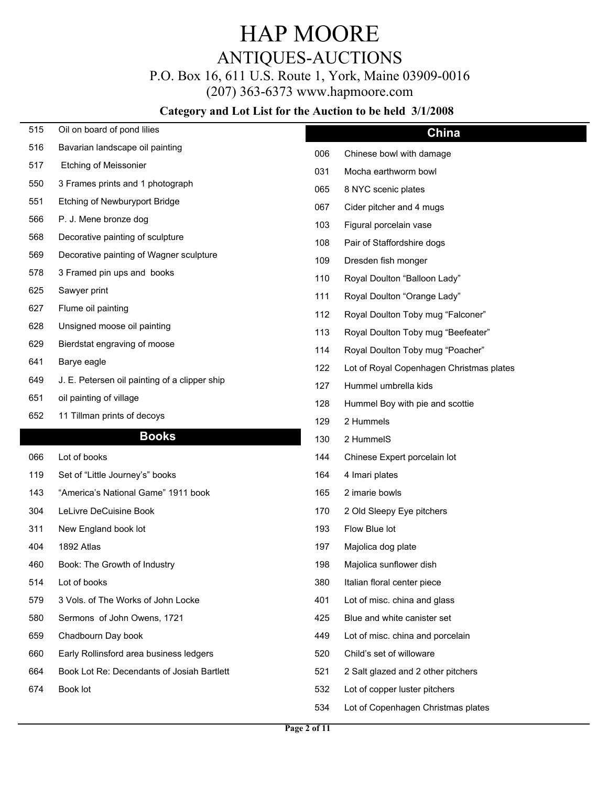## ANTIQUES-AUCTIONS

P.O. Box 16, 611 U.S. Route 1, York, Maine 03909-0016

(207) 363-6373 www.hapmoore.com

| 515 | Oil on board of pond lilies                   |     | China                                    |
|-----|-----------------------------------------------|-----|------------------------------------------|
| 516 | Bavarian landscape oil painting               | 006 | Chinese bowl with damage                 |
| 517 | <b>Etching of Meissonier</b>                  | 031 | Mocha earthworm bowl                     |
| 550 | 3 Frames prints and 1 photograph              | 065 | 8 NYC scenic plates                      |
| 551 | Etching of Newburyport Bridge                 | 067 | Cider pitcher and 4 mugs                 |
| 566 | P. J. Mene bronze dog                         | 103 | Figural porcelain vase                   |
| 568 | Decorative painting of sculpture              | 108 | Pair of Staffordshire dogs               |
| 569 | Decorative painting of Wagner sculpture       | 109 | Dresden fish monger                      |
| 578 | 3 Framed pin ups and books                    | 110 | Royal Doulton "Balloon Lady"             |
| 625 | Sawyer print                                  | 111 | Royal Doulton "Orange Lady"              |
| 627 | Flume oil painting                            | 112 | Royal Doulton Toby mug "Falconer"        |
| 628 | Unsigned moose oil painting                   | 113 | Royal Doulton Toby mug "Beefeater"       |
| 629 | Bierdstat engraving of moose                  | 114 | Royal Doulton Toby mug "Poacher"         |
| 641 | Barye eagle                                   | 122 | Lot of Royal Copenhagen Christmas plates |
| 649 | J. E. Petersen oil painting of a clipper ship | 127 | Hummel umbrella kids                     |
| 651 | oil painting of village                       | 128 | Hummel Boy with pie and scottie          |
| 652 | 11 Tillman prints of decoys                   | 129 | 2 Hummels                                |
|     | <b>Books</b>                                  | 130 | 2 HummelS                                |
| 066 | Lot of books                                  | 144 | Chinese Expert porcelain lot             |
| 119 | Set of "Little Journey's" books               | 164 | 4 Imari plates                           |
| 143 | "America's National Game" 1911 book           | 165 | 2 imarie bowls                           |
| 304 | LeLivre DeCuisine Book                        | 170 | 2 Old Sleepy Eye pitchers                |
| 311 | New England book lot                          | 193 | Flow Blue lot                            |
| 404 | 1892 Atlas                                    | 197 | Majolica dog plate                       |
| 460 | Book: The Growth of Industry                  | 198 | Majolica sunflower dish                  |
| 514 | Lot of books                                  | 380 | Italian floral center piece              |
| 579 | 3 Vols. of The Works of John Locke            | 401 | Lot of misc. china and glass             |
| 580 | Sermons of John Owens, 1721                   | 425 | Blue and white canister set              |
| 659 | Chadbourn Day book                            | 449 | Lot of misc. china and porcelain         |
| 660 | Early Rollinsford area business ledgers       | 520 | Child's set of willoware                 |
| 664 | Book Lot Re: Decendants of Josiah Bartlett    | 521 | 2 Salt glazed and 2 other pitchers       |
|     |                                               |     |                                          |
| 674 | Book lot                                      | 532 | Lot of copper luster pitchers            |
|     |                                               | 534 | Lot of Copenhagen Christmas plates       |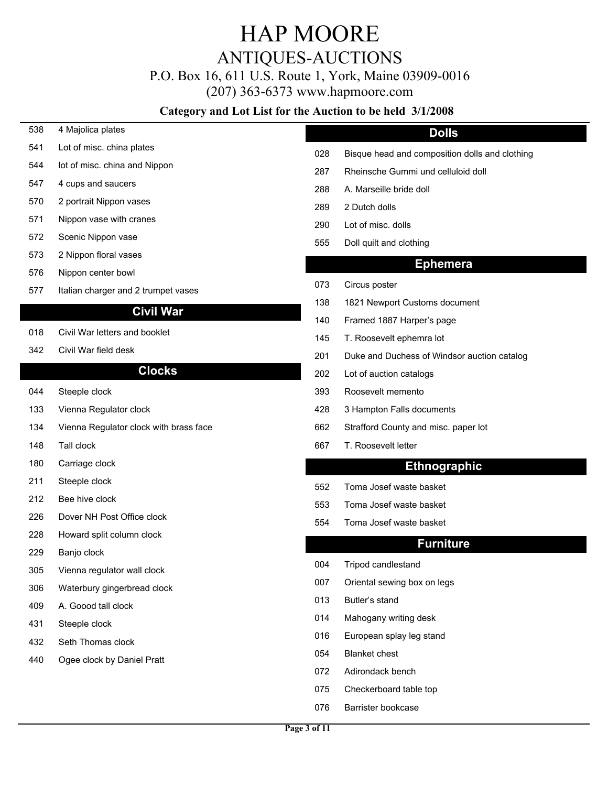### ANTIQUES-AUCTIONS

P.O. Box 16, 611 U.S. Route 1, York, Maine 03909-0016

(207) 363-6373 www.hapmoore.com

#### Category and Lot List for the Auction to be held 3/1/2008

538 4 Majolica plates 112.00 541 Lot of misc. china plates 112.000 minutes 112.000 minutes 12.000 minutes 12.000 minutes 12.000 minutes 12.000 mi 544 lot of misc. china and Nippon 112.000 and 1287 547 4 cups and saucers and saucers and saucers and saucers and saucers and saucers and saucers and saucers and  $\frac{1}{288}$  A. Marseille bride doll 570 2 portrait Nippon vases 112.000 and 12.000 and 12.000 and 12.000 and 12.000 and 12.000 and 12.000 and 12.000 and 12.000 and 12.000 and 12.000 and 12.000 and 12.000 and 12.000 and 12.000 and 12.000 and 12.000 and 12.000 571 Nippon vase with cranes 112.000 and 12.000 and 12.000 and 12.000 and 12.000 and 12.000 and 12.000 and 12.000 and 12.000 and 12.000 and 12.000 and 12.000 and 12.000 and 12.000 and 12.000 and 12.000 and 12.000 and 12.000 572 Scenic Nippon vase 112.000 in 12.000 in 12.000 in 12.000 in 12.000 in 12.000 in 13.000 in 13.000 in 13.000 in 13.000 in 13.000 in 13.000 in 13.000 in 13.000 in 13.000 in 13.000 in 13.000 in 13.000 in 13.000 in 13.000 i 573 2 Nippon floral vases 576 Nippon center bowl 577 Italian charger and 2 trumpet vases 112.000 mm control of the USA Circus poster **Civil War** 018 Civil War letters and booklet 145 342 Civil War field desk 112.000 million control of the 112.000 million catalog 112.000 million catalog 112.000 million catalog 112.000 million catalog 112.000 million catalog 112.000 million catalog 112.000 million contro **Clocks** 044 Steeple clock **112.00 in the clock 112.000 in the clock** 193.000 Roosevelt memento 112.000 in the clock 112.000 in the clock 112.000 in the clock 112.000 in the clock 112.000 in the clock 112.000 in the clock 112.000 i 133 Vienna Regulator clock 112.00 428 3 Hampton Falls documents 112.00 134 Vienna Regulator clock with brass face 112.000 112.000 112.000 112.000 112.000 112.000 112.000 112.000 11 148 Tall clock **112.000 COVID-2000 COVID-2000 COVID-2000** 667 T. Roosevelt letter 180 Carriage clock 112.00 **Ethnographic** 211 Steeple clock and the control of the control of the control of the control of the control of the control of the control of the control of the control of the control of the control of the control of the control of the c 212 Bee hive clock the state of the state of the state of the state of the state of the state of the state of the state of the state of the state of the state of the state of the state of the state of the state of the stat 226 Dover NH Post Office clock 12.000 12.000 12.000 12.000 12.000 12.000 12.000 12.000 12.000 12.000 12.000 12 228 Howard split column clock 229 Banjo clock **112.000 Banjo clock** 112.000 Banjo clock 112.000 Banjo clock 112.000 Banjo clock 112.000 Banjo clock 305 Vienna regulator wall clock 112.000 metals of the USA of the USA of the USA of the USA of the USA of the U 306 Waterbury gingerbread clock 112.000 metals of the USA of the USA of the USA of the USA of the USA of the U 409 A. Goood tall clock **112.000 COVID-112.000 COVID-20.000 COVID-20.000 COVID-20.000 COVID-12.000 COVID-12.000** 431 Steeple clock **12.000 Steeple clock** 112.000 Steeple clock 12.000 Steeple clock 12.000 Steeple clock 12.000 Steeple clock 12.000 Steeple clock 12.000 Steeple clock 12.000 Steeple clock 12.000 Steeple clock 12.000 Steep 432 Seth Thomas clock 112.000 16 440 Ogee clock by Daniel Pratt 112.000 and 112.000 and 112.000 and 112.000 and 112.000 and 112.000 and 112.000 **Dolls** Rheinsche Gummi und celluloid doll 288 A. Marseille bride doll 112.000 and 112.000 and 12.000 and 12.000 and 12.000 and 12.000 and 12.000 and 12.000 and 12.000 and 12.000 and 12.000 and 12.000 and 12.000 and 12.000 and 12.000 and 12.000 and 12.000 and 12.00 289 2 Dutch dolls 112.000 and 112.000 and 112.000 and 12.000 and 12.000 and 12.000 and 12.000 and 12.000 and 1 290 Lot of misc. dolls Doll quilt and clothing **Ephemera** 073 Circus poster 112.000 PM and 112.000 PM and 112.000 PM and 112.000 PM and 12.000 PM and 12.000 PM and 12.000 PM and 12.000 PM and 12.000 PM and 12.000 PM and 12.000 PM and 12.000 PM and 12.000 PM and 12.000 PM and 12.0 138 1821 Newport Customs document 140 Framed 1887 Harper's page T. Roosevelt ephemra lot 202 Lot of auction catalogs Strafford County and misc. paper lot 667 T. Roosevelt letter 112.000 and 112.000 and 112.000 and 112.000 and 112.000 and 112.000 and 112.000 and 12 552 Toma Josef waste basket 553 Toma Josef waste basket Toma Josef waste basket **Furniture** Tripod candlestand Oriental sewing box on legs 013 Butler's stand 112.000 and 112.000 and 112.000 and 112.000 and 112.000 and 112.000 and 112.000 and 112.000 014 Mahogany writing desk European splay leg stand 054 Blanket chest 112.000 and 112.000 and 112.000 and 112.000 and 112.000 and 12.000 and 12.000 and 12.000 and 1 072 Adirondack bench 112.000 and 112.000 and 112.000 and 112.000 and 112.000 and 112.000 and 112.000 and 112.000 and 12.000 and 12.000 and 12.000 and 12.000 and 12.000 and 12.000 and 12.000 and 12.000 and 12.000 and 12.000 075 Checkerboard table top 076 Barrister bookcase 112.000 and 12.000 and 12.000 and 12.000 and 12.000 and 12.000 and 12.000 and 12.000 and 12.000 and 12.000 and 12.000 and 12.000 and 12.000 and 12.000 and 12.000 and 12.000 and 12.000 and 12.000 and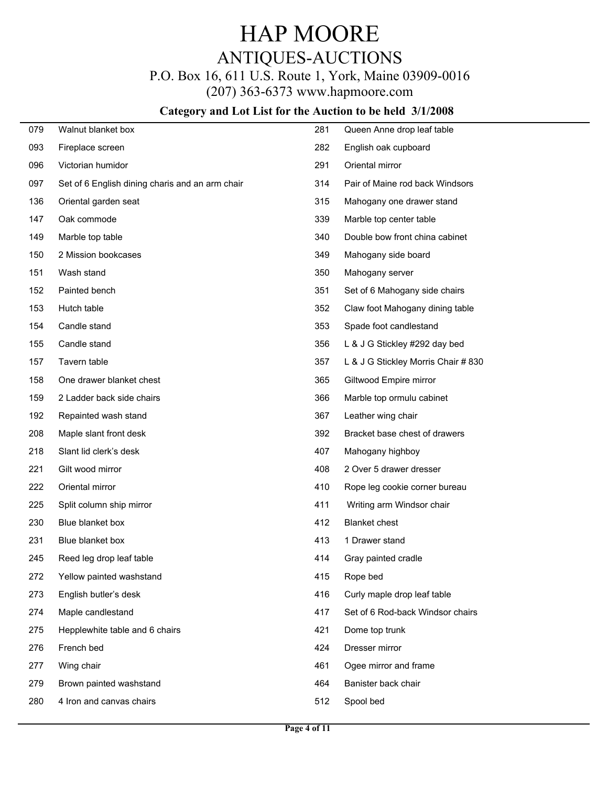P.O. Box 16, 611 U.S. Route 1, York, Maine 03909-0016

(207) 363-6373 www.hapmoore.com

| 079 | Walnut blanket box                              | 281 | Queen Anne drop leaf table          |
|-----|-------------------------------------------------|-----|-------------------------------------|
| 093 | Fireplace screen                                | 282 | English oak cupboard                |
| 096 | Victorian humidor                               | 291 | Oriental mirror                     |
| 097 | Set of 6 English dining charis and an arm chair | 314 | Pair of Maine rod back Windsors     |
| 136 | Oriental garden seat                            | 315 | Mahogany one drawer stand           |
| 147 | Oak commode                                     | 339 | Marble top center table             |
| 149 | Marble top table                                | 340 | Double bow front china cabinet      |
| 150 | 2 Mission bookcases                             | 349 | Mahogany side board                 |
| 151 | Wash stand                                      | 350 | Mahogany server                     |
| 152 | Painted bench                                   | 351 | Set of 6 Mahogany side chairs       |
| 153 | Hutch table                                     | 352 | Claw foot Mahogany dining table     |
| 154 | Candle stand                                    | 353 | Spade foot candlestand              |
| 155 | Candle stand                                    | 356 | L & J G Stickley #292 day bed       |
| 157 | Tavern table                                    | 357 | L & J G Stickley Morris Chair # 830 |
| 158 | One drawer blanket chest                        | 365 | Giltwood Empire mirror              |
| 159 | 2 Ladder back side chairs                       | 366 | Marble top ormulu cabinet           |
| 192 | Repainted wash stand                            | 367 | Leather wing chair                  |
| 208 | Maple slant front desk                          | 392 | Bracket base chest of drawers       |
| 218 | Slant lid clerk's desk                          | 407 | Mahogany highboy                    |
| 221 | Gilt wood mirror                                | 408 | 2 Over 5 drawer dresser             |
| 222 | Oriental mirror                                 | 410 | Rope leg cookie corner bureau       |
| 225 | Split column ship mirror                        | 411 | Writing arm Windsor chair           |
| 230 | Blue blanket box                                | 412 | <b>Blanket chest</b>                |
| 231 | Blue blanket box                                | 413 | 1 Drawer stand                      |
| 245 | Reed leg drop leaf table                        | 414 | Gray painted cradle                 |
| 272 | Yellow painted washstand                        | 415 | Rope bed                            |
| 273 | English butler's desk                           | 416 | Curly maple drop leaf table         |
| 274 | Maple candlestand                               | 417 | Set of 6 Rod-back Windsor chairs    |
| 275 | Hepplewhite table and 6 chairs                  | 421 | Dome top trunk                      |
| 276 | French bed                                      | 424 | Dresser mirror                      |
| 277 | Wing chair                                      | 461 | Ogee mirror and frame               |
| 279 | Brown painted washstand                         | 464 | Banister back chair                 |
| 280 | 4 Iron and canvas chairs                        | 512 | Spool bed                           |
|     |                                                 |     |                                     |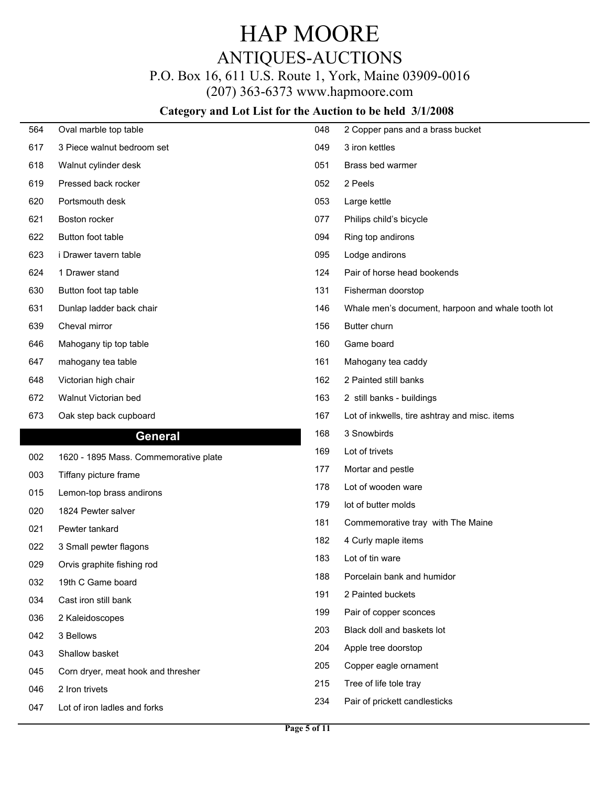### P.O. Box 16, 611 U.S. Route 1, York, Maine 03909-0016

(207) 363-6373 www.hapmoore.com

| 564        | Oval marble top table                          | 048 | 2 Copper pans and a brass bucket                  |
|------------|------------------------------------------------|-----|---------------------------------------------------|
| 617        | 3 Piece walnut bedroom set                     | 049 | 3 iron kettles                                    |
| 618        | Walnut cylinder desk                           | 051 | Brass bed warmer                                  |
| 619        | Pressed back rocker                            | 052 | 2 Peels                                           |
| 620        | Portsmouth desk                                | 053 | Large kettle                                      |
| 621        | Boston rocker                                  | 077 | Philips child's bicycle                           |
| 622        | Button foot table                              | 094 | Ring top andirons                                 |
| 623        | i Drawer tavern table                          | 095 | Lodge andirons                                    |
| 624        | 1 Drawer stand                                 | 124 | Pair of horse head bookends                       |
| 630        | Button foot tap table                          | 131 | Fisherman doorstop                                |
| 631        | Dunlap ladder back chair                       | 146 | Whale men's document, harpoon and whale tooth lot |
| 639        | Cheval mirror                                  | 156 | Butter churn                                      |
| 646        | Mahogany tip top table                         | 160 | Game board                                        |
| 647        | mahogany tea table                             | 161 | Mahogany tea caddy                                |
| 648        | Victorian high chair                           | 162 | 2 Painted still banks                             |
| 672        | Walnut Victorian bed                           | 163 | 2 still banks - buildings                         |
| 673        | Oak step back cupboard                         | 167 | Lot of inkwells, tire ashtray and misc. items     |
|            |                                                |     |                                                   |
|            |                                                | 168 | 3 Snowbirds                                       |
|            | <b>General</b>                                 | 169 | Lot of trivets                                    |
| 002        | 1620 - 1895 Mass. Commemorative plate          | 177 | Mortar and pestle                                 |
| 003        | Tiffany picture frame                          | 178 | Lot of wooden ware                                |
| 015        | Lemon-top brass andirons                       | 179 | lot of butter molds                               |
| 020        | 1824 Pewter salver                             | 181 | Commemorative tray with The Maine                 |
| 021        | Pewter tankard                                 | 182 | 4 Curly maple items                               |
| 022        | 3 Small pewter flagons                         | 183 | Lot of tin ware                                   |
| 029        | Orvis graphite fishing rod                     | 188 | Porcelain bank and humidor                        |
| 032        | 19th C Game board                              | 191 | 2 Painted buckets                                 |
| 034        | Cast iron still bank                           | 199 | Pair of copper sconces                            |
| 036        | 2 Kaleidoscopes                                | 203 | Black doll and baskets lot                        |
| 042        | 3 Bellows                                      | 204 | Apple tree doorstop                               |
| 043        | Shallow basket                                 | 205 | Copper eagle ornament                             |
| 045        | Corn dryer, meat hook and thresher             | 215 | Tree of life tole tray                            |
| 046<br>047 | 2 Iron trivets<br>Lot of iron ladles and forks | 234 | Pair of prickett candlesticks                     |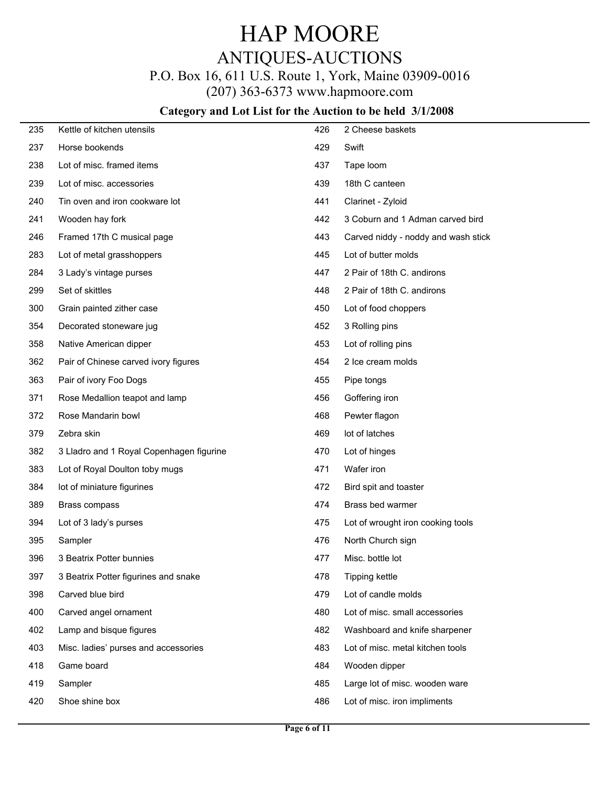# P.O. Box 16, 611 U.S. Route 1, York, Maine 03909-0016

(207) 363-6373 www.hapmoore.com

| 235 | Kettle of kitchen utensils               | 426 | 2 Cheese baskets                    |
|-----|------------------------------------------|-----|-------------------------------------|
| 237 | Horse bookends                           | 429 | Swift                               |
| 238 | Lot of misc. framed items                | 437 | Tape loom                           |
| 239 | Lot of misc. accessories                 | 439 | 18th C canteen                      |
| 240 | Tin oven and iron cookware lot           | 441 | Clarinet - Zyloid                   |
| 241 | Wooden hay fork                          | 442 | 3 Coburn and 1 Adman carved bird    |
| 246 | Framed 17th C musical page               | 443 | Carved niddy - noddy and wash stick |
| 283 | Lot of metal grasshoppers                | 445 | Lot of butter molds                 |
| 284 | 3 Lady's vintage purses                  | 447 | 2 Pair of 18th C. andirons          |
| 299 | Set of skittles                          | 448 | 2 Pair of 18th C. andirons          |
| 300 | Grain painted zither case                | 450 | Lot of food choppers                |
| 354 | Decorated stoneware jug                  | 452 | 3 Rolling pins                      |
| 358 | Native American dipper                   | 453 | Lot of rolling pins                 |
| 362 | Pair of Chinese carved ivory figures     | 454 | 2 Ice cream molds                   |
| 363 | Pair of ivory Foo Dogs                   | 455 | Pipe tongs                          |
| 371 | Rose Medallion teapot and lamp           | 456 | Goffering iron                      |
| 372 | Rose Mandarin bowl                       | 468 | Pewter flagon                       |
| 379 | Zebra skin                               | 469 | lot of latches                      |
| 382 | 3 Lladro and 1 Royal Copenhagen figurine | 470 | Lot of hinges                       |
| 383 | Lot of Royal Doulton toby mugs           | 471 | Wafer iron                          |
| 384 | lot of miniature figurines               | 472 | Bird spit and toaster               |
| 389 | Brass compass                            | 474 | Brass bed warmer                    |
| 394 | Lot of 3 lady's purses                   | 475 | Lot of wrought iron cooking tools   |
| 395 | Sampler                                  | 476 | North Church sign                   |
| 396 | 3 Beatrix Potter bunnies                 | 477 | Misc. bottle lot                    |
| 397 | 3 Beatrix Potter figurines and snake     | 478 | Tipping kettle                      |
| 398 | Carved blue bird                         | 479 | Lot of candle molds                 |
| 400 | Carved angel ornament                    | 480 | Lot of misc. small accessories      |
| 402 | Lamp and bisque figures                  | 482 | Washboard and knife sharpener       |
| 403 | Misc. ladies' purses and accessories     | 483 | Lot of misc. metal kitchen tools    |
| 418 | Game board                               | 484 | Wooden dipper                       |
| 419 | Sampler                                  | 485 | Large lot of misc. wooden ware      |
| 420 | Shoe shine box                           | 486 | Lot of misc. iron impliments        |
|     |                                          |     |                                     |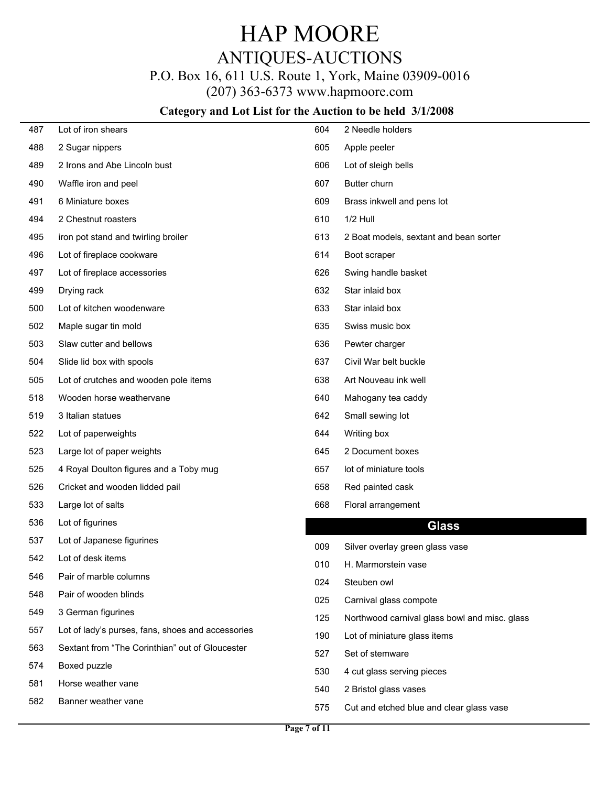# ANTIQUES-AUCTIONS

## P.O. Box 16, 611 U.S. Route 1, York, Maine 03909-0016

(207) 363-6373 www.hapmoore.com

| 487 | Lot of iron shears                                | 604 | 2 Needle holders                              |
|-----|---------------------------------------------------|-----|-----------------------------------------------|
| 488 | 2 Sugar nippers                                   | 605 | Apple peeler                                  |
| 489 | 2 Irons and Abe Lincoln bust                      | 606 | Lot of sleigh bells                           |
| 490 | Waffle iron and peel                              | 607 | Butter churn                                  |
| 491 | 6 Miniature boxes                                 | 609 | Brass inkwell and pens lot                    |
| 494 | 2 Chestnut roasters                               | 610 | 1/2 Hull                                      |
| 495 | iron pot stand and twirling broiler               | 613 | 2 Boat models, sextant and bean sorter        |
| 496 | Lot of fireplace cookware                         | 614 | Boot scraper                                  |
| 497 | Lot of fireplace accessories                      | 626 | Swing handle basket                           |
| 499 | Drying rack                                       | 632 | Star inlaid box                               |
| 500 | Lot of kitchen woodenware                         | 633 | Star inlaid box                               |
| 502 | Maple sugar tin mold                              | 635 | Swiss music box                               |
| 503 | Slaw cutter and bellows                           | 636 | Pewter charger                                |
| 504 | Slide lid box with spools                         | 637 | Civil War belt buckle                         |
| 505 | Lot of crutches and wooden pole items             | 638 | Art Nouveau ink well                          |
| 518 | Wooden horse weathervane                          | 640 | Mahogany tea caddy                            |
| 519 | 3 Italian statues                                 | 642 | Small sewing lot                              |
| 522 | Lot of paperweights                               | 644 | Writing box                                   |
| 523 | Large lot of paper weights                        | 645 | 2 Document boxes                              |
| 525 | 4 Royal Doulton figures and a Toby mug            | 657 | lot of miniature tools                        |
| 526 | Cricket and wooden lidded pail                    | 658 | Red painted cask                              |
| 533 | Large lot of salts                                | 668 | Floral arrangement                            |
| 536 | Lot of figurines                                  |     | <b>Glass</b>                                  |
| 537 | Lot of Japanese figurines                         | 009 | Silver overlay green glass vase               |
| 542 | Lot of desk items                                 | 010 | H. Marmorstein vase                           |
| 546 | Pair of marble columns                            | 024 | Steuben owl                                   |
| 548 | Pair of wooden blinds                             | 025 | Carnival glass compote                        |
| 549 | 3 German figurines                                | 125 | Northwood carnival glass bowl and misc. glass |
| 557 | Lot of lady's purses, fans, shoes and accessories | 190 | Lot of miniature glass items                  |
| 563 | Sextant from "The Corinthian" out of Gloucester   | 527 | Set of stemware                               |
| 574 | Boxed puzzle                                      | 530 | 4 cut glass serving pieces                    |
| 581 | Horse weather vane                                | 540 | 2 Bristol glass vases                         |
| 582 | Banner weather vane                               | 575 | Cut and etched blue and clear glass vase      |
|     |                                                   |     |                                               |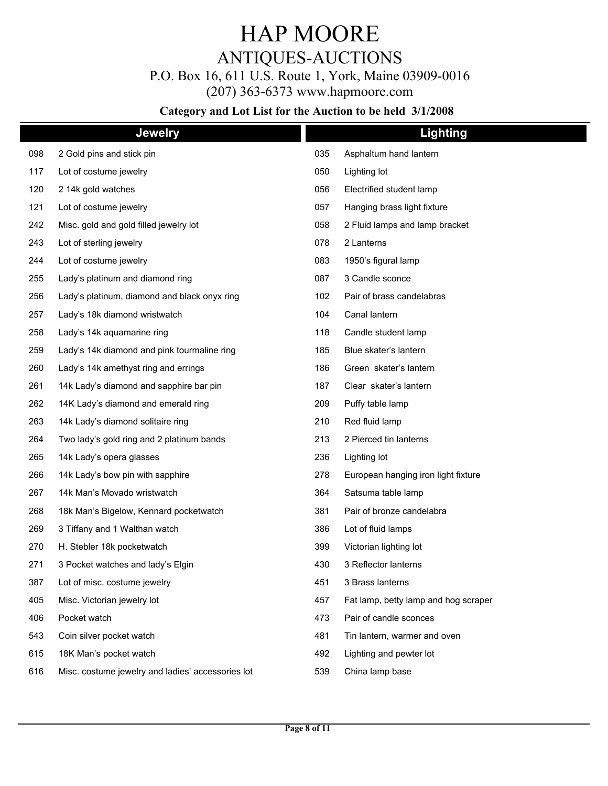## ANTIQUES-AUCTIONS

P.O. Box 16, 611 U.S. Route 1, York, Maine 03909-0016

(207) 363-6373 www.hapmoore.com

|     | <b>Jewelry</b>                                    |     | <b>Lighting</b>                      |  |
|-----|---------------------------------------------------|-----|--------------------------------------|--|
| 098 | 2 Gold pins and stick pin                         | 035 | Asphaltum hand lantern               |  |
| 117 | Lot of costume jewelry                            | 050 | Lighting lot                         |  |
| 120 | 2 14k gold watches                                | 056 | Electrified student lamp             |  |
| 121 | Lot of costume jewelry                            | 057 | Hanging brass light fixture          |  |
| 242 | Misc. gold and gold filled jewelry lot            | 058 | 2 Fluid lamps and lamp bracket       |  |
| 243 | Lot of sterling jewelry                           | 078 | 2 Lanterns                           |  |
| 244 | Lot of costume jewelry                            | 083 | 1950's figural lamp                  |  |
| 255 | Lady's platinum and diamond ring                  | 087 | 3 Candle sconce                      |  |
| 256 | Lady's platinum, diamond and black onyx ring      | 102 | Pair of brass candelabras            |  |
| 257 | Lady's 18k diamond wristwatch                     | 104 | Canal lantern                        |  |
| 258 | Lady's 14k aquamarine ring                        | 118 | Candle student lamp                  |  |
| 259 | Lady's 14k diamond and pink tourmaline ring       | 185 | Blue skater's lantern                |  |
| 260 | Lady's 14k amethyst ring and errings              | 186 | Green skater's lantern               |  |
| 261 | 14k Lady's diamond and sapphire bar pin           | 187 | Clear skater's lantern               |  |
| 262 | 14K Lady's diamond and emerald ring               | 209 | Puffy table lamp                     |  |
| 263 | 14k Lady's diamond solitaire ring                 | 210 | Red fluid lamp                       |  |
| 264 | Two lady's gold ring and 2 platinum bands         | 213 | 2 Pierced tin lanterns               |  |
| 265 | 14k Lady's opera glasses                          | 236 | Lighting lot                         |  |
| 266 | 14k Lady's bow pin with sapphire                  | 278 | European hanging iron light fixture  |  |
| 267 | 14k Man's Movado wristwatch                       | 364 | Satsuma table lamp                   |  |
| 268 | 18k Man's Bigelow, Kennard pocketwatch            | 381 | Pair of bronze candelabra            |  |
| 269 | 3 Tiffany and 1 Walthan watch                     | 386 | Lot of fluid lamps                   |  |
| 270 | H. Stebler 18k pocketwatch                        | 399 | Victorian lighting lot               |  |
| 271 | 3 Pocket watches and lady's Elgin                 | 430 | 3 Reflector lanterns                 |  |
| 387 | Lot of misc. costume jewelry                      | 451 | 3 Brass lanterns                     |  |
| 405 | Misc. Victorian jewelry lot                       | 457 | Fat lamp, betty lamp and hog scraper |  |
| 406 | Pocket watch                                      | 473 | Pair of candle sconces               |  |
| 543 | Coin silver pocket watch                          | 481 | Tin lantern, warmer and oven         |  |
| 615 | 18K Man's pocket watch                            | 492 | Lighting and pewter lot              |  |
| 616 | Misc. costume jewelry and ladies' accessories lot | 539 | China lamp base                      |  |
|     |                                                   |     |                                      |  |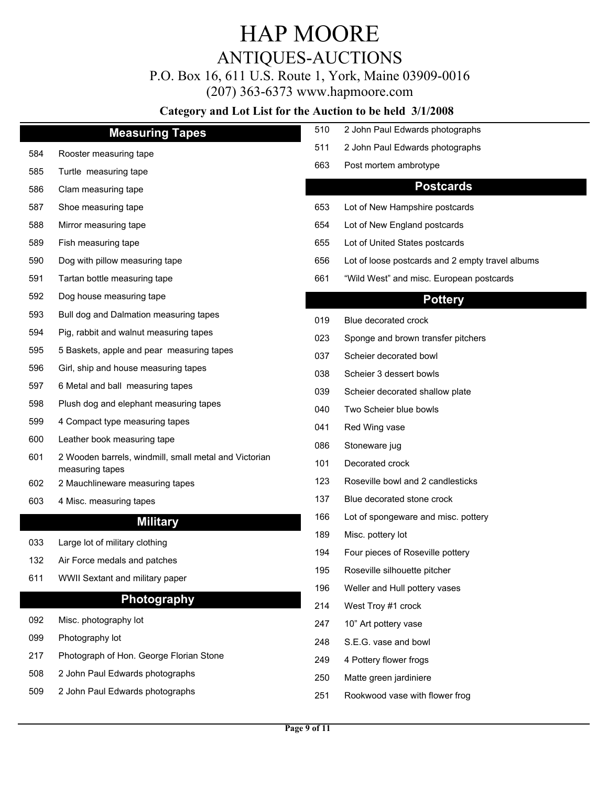# ANTIQUES-AUCTIONS

### P.O. Box 16, 611 U.S. Route 1, York, Maine 03909-0016

(207) 363-6373 www.hapmoore.com

|     | <b>Measuring Tapes</b>                                                   | 510 | 2 John Paul Edwards photographs                  |
|-----|--------------------------------------------------------------------------|-----|--------------------------------------------------|
| 584 | Rooster measuring tape                                                   | 511 | 2 John Paul Edwards photographs                  |
| 585 | Turtle measuring tape                                                    | 663 | Post mortem ambrotype                            |
| 586 | Clam measuring tape                                                      |     | <b>Postcards</b>                                 |
| 587 | Shoe measuring tape                                                      | 653 | Lot of New Hampshire postcards                   |
| 588 | Mirror measuring tape                                                    | 654 | Lot of New England postcards                     |
| 589 | Fish measuring tape                                                      | 655 | Lot of United States postcards                   |
| 590 | Dog with pillow measuring tape                                           | 656 | Lot of loose postcards and 2 empty travel albums |
| 591 | Tartan bottle measuring tape                                             | 661 | "Wild West" and misc. European postcards         |
| 592 | Dog house measuring tape                                                 |     | <b>Pottery</b>                                   |
| 593 | Bull dog and Dalmation measuring tapes                                   | 019 | Blue decorated crock                             |
| 594 | Pig, rabbit and walnut measuring tapes                                   | 023 | Sponge and brown transfer pitchers               |
| 595 | 5 Baskets, apple and pear measuring tapes                                | 037 | Scheier decorated bowl                           |
| 596 | Girl, ship and house measuring tapes                                     | 038 | Scheier 3 dessert bowls                          |
| 597 | 6 Metal and ball measuring tapes                                         | 039 | Scheier decorated shallow plate                  |
| 598 | Plush dog and elephant measuring tapes                                   | 040 | Two Scheier blue bowls                           |
| 599 | 4 Compact type measuring tapes                                           | 041 | Red Wing vase                                    |
| 600 | Leather book measuring tape                                              | 086 | Stoneware jug                                    |
| 601 | 2 Wooden barrels, windmill, small metal and Victorian<br>measuring tapes | 101 | Decorated crock                                  |
| 602 | 2 Mauchlineware measuring tapes                                          | 123 | Roseville bowl and 2 candlesticks                |
| 603 | 4 Misc. measuring tapes                                                  | 137 | Blue decorated stone crock                       |
|     | <b>Military</b>                                                          | 166 | Lot of spongeware and misc. pottery              |
| 033 | Large lot of military clothing                                           | 189 | Misc. pottery lot                                |
| 132 | Air Force medals and patches                                             | 194 | Four pieces of Roseville pottery                 |
| 611 | WWII Sextant and military paper                                          | 195 | Roseville silhouette pitcher                     |
|     | Photography                                                              | 196 | Weller and Hull pottery vases                    |
|     |                                                                          | 214 | West Troy #1 crock                               |
| 092 | Misc. photography lot                                                    | 247 | 10" Art pottery vase                             |
| 099 | Photography lot                                                          | 248 | S.E.G. vase and bowl                             |
| 217 | Photograph of Hon. George Florian Stone                                  | 249 | 4 Pottery flower frogs                           |
| 508 | 2 John Paul Edwards photographs                                          | 250 | Matte green jardiniere                           |
| 509 | 2 John Paul Edwards photographs                                          | 251 | Rookwood vase with flower frog                   |
|     |                                                                          |     |                                                  |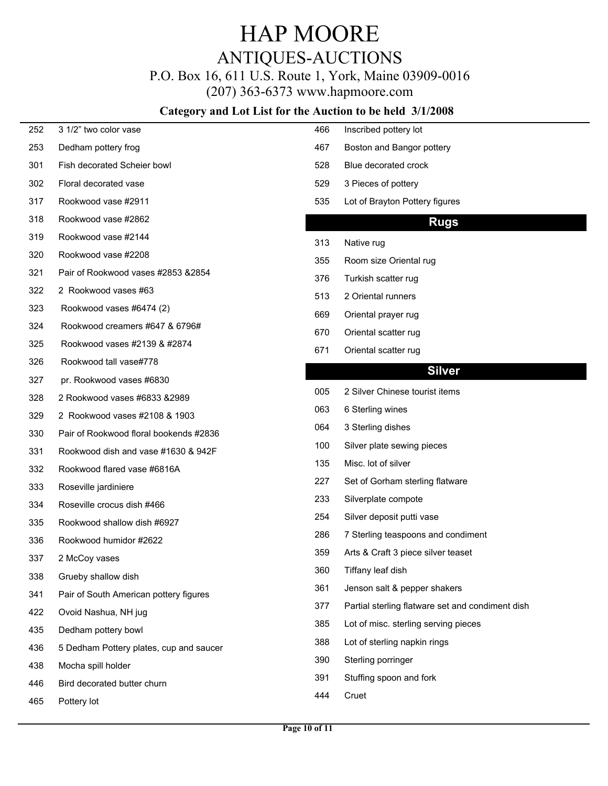P.O. Box 16, 611 U.S. Route 1, York, Maine 03909-0016

(207) 363-6373 www.hapmoore.com

| 252 | 3 1/2" two color vase                   | 466 | Inscribed pottery lot                            |
|-----|-----------------------------------------|-----|--------------------------------------------------|
| 253 | Dedham pottery frog                     | 467 | Boston and Bangor pottery                        |
| 301 | Fish decorated Scheier bowl             | 528 | Blue decorated crock                             |
| 302 | Floral decorated vase                   | 529 | 3 Pieces of pottery                              |
| 317 | Rookwood vase #2911                     | 535 | Lot of Brayton Pottery figures                   |
| 318 | Rookwood vase #2862                     |     | <b>Rugs</b>                                      |
| 319 | Rookwood vase #2144                     | 313 | Native rug                                       |
| 320 | Rookwood vase #2208                     | 355 | Room size Oriental rug                           |
| 321 | Pair of Rookwood vases #2853 &2854      | 376 | Turkish scatter rug                              |
| 322 | 2 Rookwood vases #63                    | 513 | 2 Oriental runners                               |
| 323 | Rookwood vases #6474 (2)                | 669 | Oriental prayer rug                              |
| 324 | Rookwood creamers #647 & 6796#          | 670 | Oriental scatter rug                             |
| 325 | Rookwood vases #2139 & #2874            | 671 | Oriental scatter rug                             |
| 326 | Rookwood tall vase#778                  |     |                                                  |
| 327 | pr. Rookwood vases #6830                |     | <b>Silver</b>                                    |
| 328 | 2 Rookwood vases #6833 &2989            | 005 | 2 Silver Chinese tourist items                   |
| 329 | 2 Rookwood vases #2108 & 1903           | 063 | 6 Sterling wines                                 |
| 330 | Pair of Rookwood floral bookends #2836  | 064 | 3 Sterling dishes                                |
| 331 | Rookwood dish and vase #1630 & 942F     | 100 | Silver plate sewing pieces                       |
| 332 | Rookwood flared vase #6816A             | 135 | Misc. lot of silver                              |
| 333 | Roseville jardiniere                    | 227 | Set of Gorham sterling flatware                  |
| 334 | Roseville crocus dish #466              | 233 | Silverplate compote                              |
| 335 | Rookwood shallow dish #6927             | 254 | Silver deposit putti vase                        |
| 336 | Rookwood humidor #2622                  | 286 | 7 Sterling teaspoons and condiment               |
| 337 | 2 McCoy vases                           | 359 | Arts & Craft 3 piece silver teaset               |
| 338 | Grueby shallow dish                     | 360 | Tiffany leaf dish                                |
| 341 | Pair of South American pottery figures  | 361 | Jenson salt & pepper shakers                     |
| 422 | Ovoid Nashua, NH jug                    | 377 | Partial sterling flatware set and condiment dish |
| 435 | Dedham pottery bowl                     | 385 | Lot of misc. sterling serving pieces             |
| 436 | 5 Dedham Pottery plates, cup and saucer | 388 | Lot of sterling napkin rings                     |
| 438 | Mocha spill holder                      | 390 | Sterling porringer                               |
| 446 | Bird decorated butter churn             | 391 | Stuffing spoon and fork                          |
| 465 | Pottery lot                             | 444 | Cruet                                            |
|     |                                         |     |                                                  |